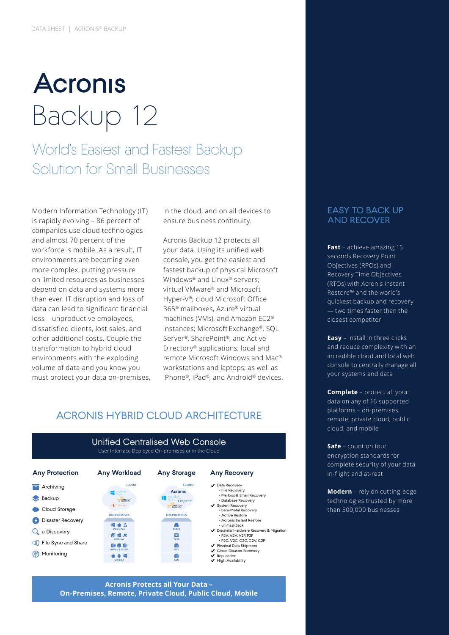# **Acronis** Backup 12

World's Easiest and Fastest Backup Solution for Small Businesses

Modern Information Technology (IT) is rapidly evolving – 86 percent of companies use cloud technologies and almost 70 percent of the workforce is mobile. As a result, IT environments are becoming even more complex, putting pressure on limited resources as businesses depend on data and systems more than ever. IT disruption and loss of data can lead to significant financial loss – unproductive employees, dissatisfied clients, lost sales, and other additional costs. Couple the transformation to hybrid cloud environments with the exploding volume of data and you know you must protect your data on-premises, in the cloud, and on all devices to ensure business continuity.

Acronis Backup 12 protects all your data. Using its unified web console, you get the easiest and fastest backup of physical Microsoft Windows® and Linux® servers; virtual VMware® and Microsoft Hyper-V®; cloud Microsoft Office 365® mailboxes, Azure® virtual machines (VMs), and Amazon EC2® instances; Microsoft Exchange®, SQL Server®, SharePoint®, and Active Directory® applications; local and remote Microsoft Windows and Mac® workstations and laptops; as well as iPhone®, iPad®, and Android® devices.

# ACRONIS HYBRID CLOUD ARCHITECTURE



Unified Centralised Web Console User Interface Deployed On-premises or in the Cloud

#### **Acronis Protects all Your Data – On-Premises, Remote, Private Cloud, Public Cloud, Mobile**

# EASY TO BACK UP AND RECOVER

**Fast** – achieve amazing 15 seconds Recovery Point Objectives (RPOs) and Recovery Time Objectives (RTOs) with Acronis Instant Restore™ and the world's quickest backup and recovery — two times faster than the closest competitor

**Easy** – install in three clicks and reduce complexity with an incredible cloud and local web console to centrally manage all your systems and data

**Complete** – protect all your data on any of 16 supported platforms – on-premises, remote, private cloud, public cloud, and mobile

**Safe** – count on four encryption standards for complete security of your data in-flight and at-rest

**Modern** – rely on cutting-edge technologies trusted by more than 500,000 businesses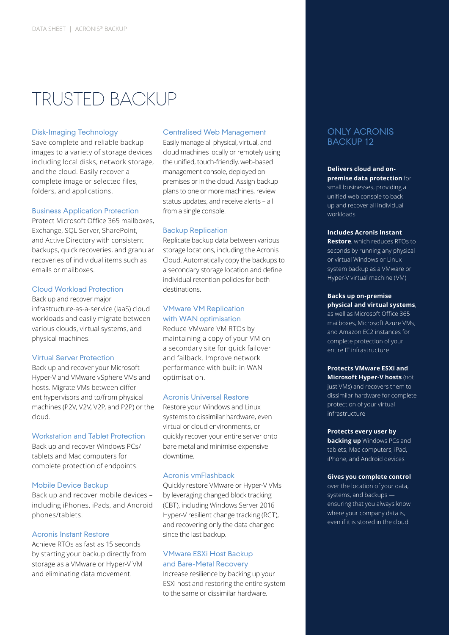# TRUSTED BACKUP

#### Disk-Imaging Technology

Save complete and reliable backup images to a variety of storage devices including local disks, network storage, and the cloud. Easily recover a complete image or selected files, folders, and applications.

## Business Application Protection

Protect Microsoft Office 365 mailboxes, Exchange, SQL Server, SharePoint, and Active Directory with consistent backups, quick recoveries, and granular recoveries of individual items such as emails or mailboxes.

# Cloud Workload Protection

Back up and recover major infrastructure-as-a-service (IaaS) cloud workloads and easily migrate between various clouds, virtual systems, and physical machines.

#### Virtual Server Protection

Back up and recover your Microsoft Hyper-V and VMware vSphere VMs and hosts. Migrate VMs between different hypervisors and to/from physical machines (P2V, V2V, V2P, and P2P) or the cloud.

# Workstation and Tablet Protection

Back up and recover Windows PCs/ tablets and Mac computers for complete protection of endpoints.

#### Mobile Device Backup

Back up and recover mobile devices – including iPhones, iPads, and Android phones/tablets.

### Acronis Instant Restore

Achieve RTOs as fast as 15 seconds by starting your backup directly from storage as a VMware or Hyper-V VM and eliminating data movement.

#### Centralised Web Management

Easily manage all physical, virtual, and cloud machines locally or remotely using the unified, touch-friendly, web-based management console, deployed onpremises or in the cloud. Assign backup plans to one or more machines, review status updates, and receive alerts – all from a single console.

#### Backup Replication

Replicate backup data between various storage locations, including the Acronis Cloud. Automatically copy the backups to a secondary storage location and define individual retention policies for both destinations.

# VMware VM Replication with WAN optimisation

Reduce VMware VM RTOs by maintaining a copy of your VM on a secondary site for quick failover and failback. Improve network performance with built-in WAN optimisation.

#### Acronis Universal Restore

Restore your Windows and Linux systems to dissimilar hardware, even virtual or cloud environments, or quickly recover your entire server onto bare metal and minimise expensive downtime.

### Acronis vmFlashback

Quickly restore VMware or Hyper-V VMs by leveraging changed block tracking (CBT), including Windows Server 2016 Hyper-V resilient change tracking (RCT), and recovering only the data changed since the last backup.

### VMware ESXi Host Backup and Bare-Metal Recovery

Increase resilience by backing up your ESXi host and restoring the entire system to the same or dissimilar hardware.

# ONLY ACRONIS BACKUP 12

**Delivers cloud and onpremise data protection** for small businesses, providing a unified web console to back up and recover all individual workloads

#### **Includes Acronis Instant**

**Restore**, which reduces RTOs to seconds by running any physical or virtual Windows or Linux system backup as a VMware or Hyper-V virtual machine (VM)

#### **Backs up on-premise physical and virtual systems**,

as well as Microsoft Office 365 mailboxes, Microsoft Azure VMs, and Amazon EC2 instances for complete protection of your entire IT infrastructure

#### **Protects VMware ESXi and Microsoft Hyper-V hosts** (not just VMs) and recovers them to dissimilar hardware for complete protection of your virtual infrastructure

#### **Protects every user by**

**backing up** Windows PCs and tablets, Mac computers, iPad, iPhone, and Android devices

#### **Gives you complete control**

over the location of your data, systems, and backups ensuring that you always know where your company data is, even if it is stored in the cloud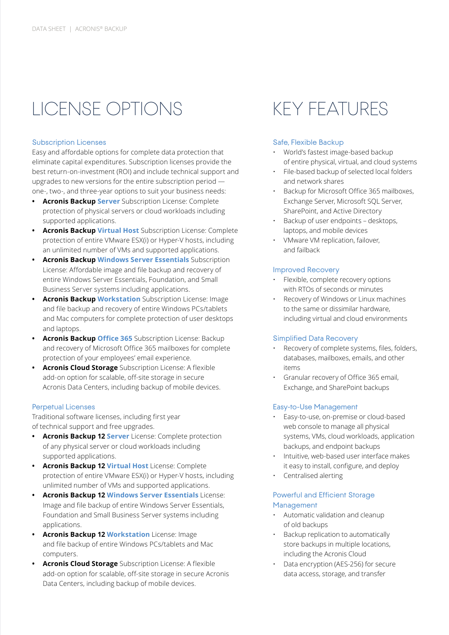# LICENSE OPTIONS

### Subscription Licenses

Easy and affordable options for complete data protection that eliminate capital expenditures. Subscription licenses provide the best return-on-investment (ROI) and include technical support and upgrades to new versions for the entire subscription period one-, two-, and three-year options to suit your business needs:

- **• Acronis Backup Server** Subscription License: Complete protection of physical servers or cloud workloads including supported applications.
- **• Acronis Backup Virtual Host** Subscription License: Complete protection of entire VMware ESX(i) or Hyper-V hosts, including an unlimited number of VMs and supported applications.
- **• Acronis Backup Windows Server Essentials** Subscription License: Affordable image and file backup and recovery of entire Windows Server Essentials, Foundation, and Small Business Server systems including applications.
- **• Acronis Backup Workstation** Subscription License: Image and file backup and recovery of entire Windows PCs/tablets and Mac computers for complete protection of user desktops and laptops.
- **• Acronis Backup Office 365** Subscription License: Backup and recovery of Microsoft Office 365 mailboxes for complete protection of your employees' email experience.
- **• Acronis Cloud Storage** Subscription License: A flexible add-on option for scalable, off-site storage in secure Acronis Data Centers, including backup of mobile devices.

# Perpetual Licenses

Traditional software licenses, including first year of technical support and free upgrades.

- **• Acronis Backup 12 Server** License: Complete protection of any physical server or cloud workloads including supported applications.
- **• Acronis Backup 12 Virtual Host** License: Complete protection of entire VMware ESX(i) or Hyper-V hosts, including unlimited number of VMs and supported applications.
- **• Acronis Backup 12 Windows Server Essentials** License: Image and file backup of entire Windows Server Essentials, Foundation and Small Business Server systems including applications.
- **• Acronis Backup 12 Workstation** License: Image and file backup of entire Windows PCs/tablets and Mac computers.
- **• Acronis Cloud Storage** Subscription License: A flexible add-on option for scalable, off-site storage in secure Acronis Data Centers, including backup of mobile devices.

# KEY FEATURES

# Safe, Flexible Backup

- World's fastest image-based backup of entire physical, virtual, and cloud systems
- File-based backup of selected local folders and network shares
- Backup for Microsoft Office 365 mailboxes, Exchange Server, Microsoft SQL Server, SharePoint, and Active Directory
- Backup of user endpoints desktops, laptops, and mobile devices
- VMware VM replication, failover, and failback

# Improved Recovery

- Flexible, complete recovery options with RTOs of seconds or minutes
- Recovery of Windows or Linux machines to the same or dissimilar hardware, including virtual and cloud environments

# Simplified Data Recovery

- Recovery of complete systems, files, folders, databases, mailboxes, emails, and other items
- Granular recovery of Office 365 email, Exchange, and SharePoint backups

# Easy-to-Use Management

- Easy-to-use, on-premise or cloud-based web console to manage all physical systems, VMs, cloud workloads, application backups, and endpoint backups
- Intuitive, web-based user interface makes it easy to install, configure, and deploy
- Centralised alerting

# Powerful and Efficient Storage Management

- Automatic validation and cleanup of old backups
- Backup replication to automatically store backups in multiple locations, including the Acronis Cloud
- Data encryption (AES-256) for secure data access, storage, and transfer